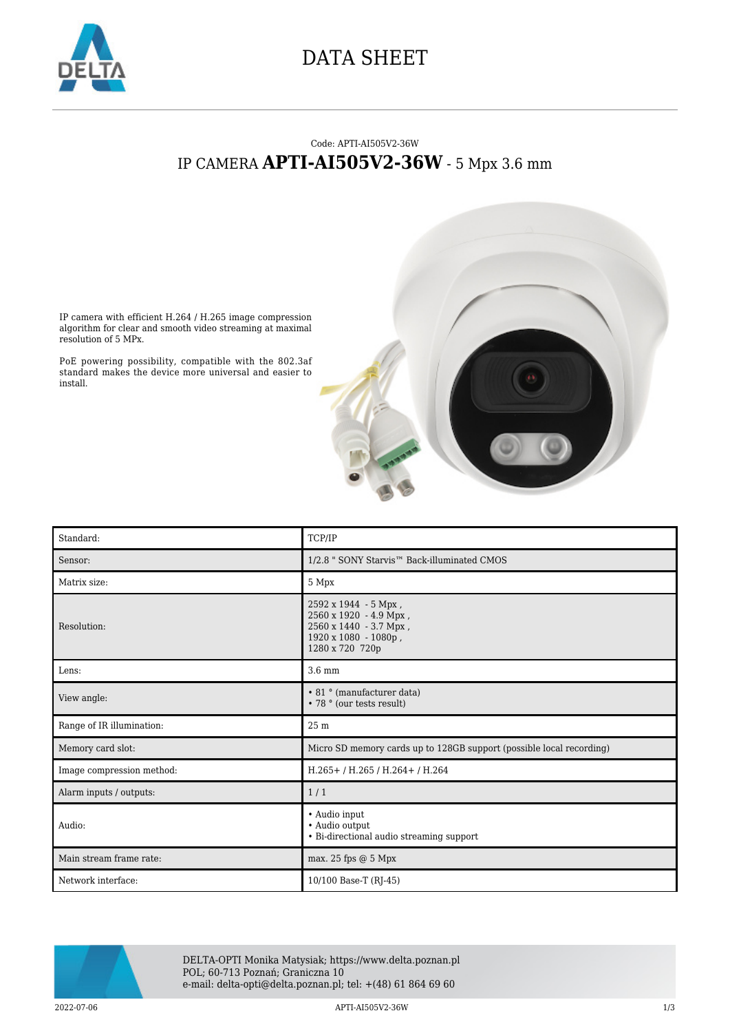

## DATA SHEET

## Code: APTI-AI505V2-36W IP CAMERA **APTI-AI505V2-36W** - 5 Mpx 3.6 mm



IP camera with efficient H.264 / H.265 image compression algorithm for clear and smooth video streaming at maximal resolution of 5 MPx.

PoE powering possibility, compatible with the 802.3af standard makes the device more universal and easier to install.

| Standard:                 | TCP/IP                                                                                                              |
|---------------------------|---------------------------------------------------------------------------------------------------------------------|
| Sensor:                   | 1/2.8 " SONY Starvis™ Back-illuminated CMOS                                                                         |
| Matrix size:              | 5 Mpx                                                                                                               |
| Resolution:               | 2592 x 1944 - 5 Mpx,<br>2560 x 1920 - 4.9 Mpx,<br>2560 x 1440 - 3.7 Mpx,<br>1920 x 1080 - 1080p,<br>1280 x 720 720p |
| Lens:                     | 3.6 mm                                                                                                              |
| View angle:               | • 81 ° (manufacturer data)<br>• 78 ° (our tests result)                                                             |
| Range of IR illumination: | 25 m                                                                                                                |
| Memory card slot:         | Micro SD memory cards up to 128GB support (possible local recording)                                                |
| Image compression method: | H.265+/H.265/H.264+/H.264                                                                                           |
| Alarm inputs / outputs:   | 1/1                                                                                                                 |
| Audio:                    | • Audio input<br>· Audio output<br>• Bi-directional audio streaming support                                         |
| Main stream frame rate:   | max. 25 fps $@$ 5 Mpx                                                                                               |
| Network interface:        | 10/100 Base-T (RJ-45)                                                                                               |



DELTA-OPTI Monika Matysiak; https://www.delta.poznan.pl POL; 60-713 Poznań; Graniczna 10 e-mail: delta-opti@delta.poznan.pl; tel: +(48) 61 864 69 60

2022-07-06 APTI-AI505V2-36W 1/3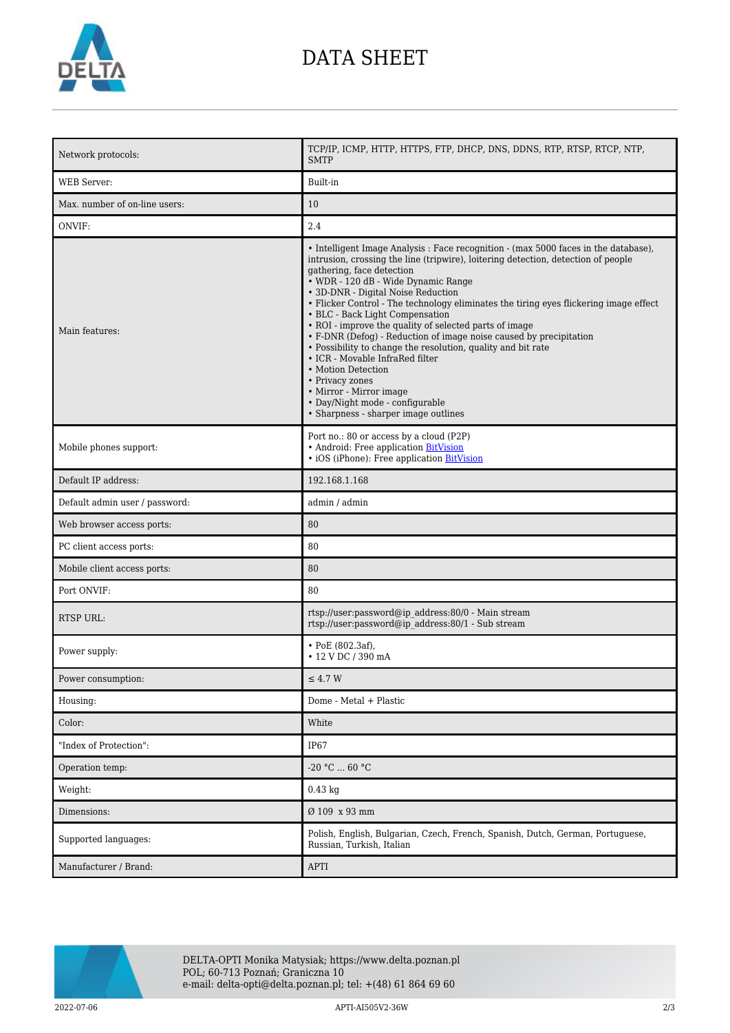

## DATA SHEET

| Network protocols:             | TCP/IP, ICMP, HTTP, HTTPS, FTP, DHCP, DNS, DDNS, RTP, RTSP, RTCP, NTP,<br><b>SMTP</b>                                                                                                                                                                                                                                                                                                                                                                                                                                                                                                                                                                                                                                                                                                            |
|--------------------------------|--------------------------------------------------------------------------------------------------------------------------------------------------------------------------------------------------------------------------------------------------------------------------------------------------------------------------------------------------------------------------------------------------------------------------------------------------------------------------------------------------------------------------------------------------------------------------------------------------------------------------------------------------------------------------------------------------------------------------------------------------------------------------------------------------|
| <b>WEB</b> Server:             | Built-in                                                                                                                                                                                                                                                                                                                                                                                                                                                                                                                                                                                                                                                                                                                                                                                         |
| Max. number of on-line users:  | 10                                                                                                                                                                                                                                                                                                                                                                                                                                                                                                                                                                                                                                                                                                                                                                                               |
| ONVIF:                         | 2.4                                                                                                                                                                                                                                                                                                                                                                                                                                                                                                                                                                                                                                                                                                                                                                                              |
| Main features:                 | • Intelligent Image Analysis : Face recognition - (max 5000 faces in the database),<br>intrusion, crossing the line (tripwire), loitering detection, detection of people<br>gathering, face detection<br>• WDR - 120 dB - Wide Dynamic Range<br>• 3D-DNR - Digital Noise Reduction<br>• Flicker Control - The technology eliminates the tiring eyes flickering image effect<br>• BLC - Back Light Compensation<br>• ROI - improve the quality of selected parts of image<br>• F-DNR (Defog) - Reduction of image noise caused by precipitation<br>• Possibility to change the resolution, quality and bit rate<br>• ICR - Movable InfraRed filter<br>• Motion Detection<br>• Privacy zones<br>• Mirror - Mirror image<br>• Day/Night mode - configurable<br>• Sharpness - sharper image outlines |
| Mobile phones support:         | Port no.: 80 or access by a cloud (P2P)<br>• Android: Free application BitVision<br>· iOS (iPhone): Free application BitVision                                                                                                                                                                                                                                                                                                                                                                                                                                                                                                                                                                                                                                                                   |
| Default IP address:            | 192.168.1.168                                                                                                                                                                                                                                                                                                                                                                                                                                                                                                                                                                                                                                                                                                                                                                                    |
| Default admin user / password: | admin / admin                                                                                                                                                                                                                                                                                                                                                                                                                                                                                                                                                                                                                                                                                                                                                                                    |
| Web browser access ports:      | 80                                                                                                                                                                                                                                                                                                                                                                                                                                                                                                                                                                                                                                                                                                                                                                                               |
| PC client access ports:        | 80                                                                                                                                                                                                                                                                                                                                                                                                                                                                                                                                                                                                                                                                                                                                                                                               |
| Mobile client access ports:    | 80                                                                                                                                                                                                                                                                                                                                                                                                                                                                                                                                                                                                                                                                                                                                                                                               |
| Port ONVIF:                    | 80                                                                                                                                                                                                                                                                                                                                                                                                                                                                                                                                                                                                                                                                                                                                                                                               |
| <b>RTSP URL:</b>               | rtsp://user:password@ip address:80/0 - Main stream<br>rtsp://user:password@ip address:80/1 - Sub stream                                                                                                                                                                                                                                                                                                                                                                                                                                                                                                                                                                                                                                                                                          |
| Power supply:                  | $\cdot$ PoE (802.3af),<br>• 12 V DC / 390 mA                                                                                                                                                                                                                                                                                                                                                                                                                                                                                                                                                                                                                                                                                                                                                     |
| Power consumption:             | $\leq 4.7$ W                                                                                                                                                                                                                                                                                                                                                                                                                                                                                                                                                                                                                                                                                                                                                                                     |
| Housing:                       | Dome - Metal + Plastic                                                                                                                                                                                                                                                                                                                                                                                                                                                                                                                                                                                                                                                                                                                                                                           |
| Color:                         | White                                                                                                                                                                                                                                                                                                                                                                                                                                                                                                                                                                                                                                                                                                                                                                                            |
| "Index of Protection":         | IP67                                                                                                                                                                                                                                                                                                                                                                                                                                                                                                                                                                                                                                                                                                                                                                                             |
| Operation temp:                | $-20$ °C $\ldots$ 60 °C                                                                                                                                                                                                                                                                                                                                                                                                                                                                                                                                                                                                                                                                                                                                                                          |
| Weight:                        | $0.43$ kg                                                                                                                                                                                                                                                                                                                                                                                                                                                                                                                                                                                                                                                                                                                                                                                        |
| Dimensions:                    | Ø 109 x 93 mm                                                                                                                                                                                                                                                                                                                                                                                                                                                                                                                                                                                                                                                                                                                                                                                    |
| Supported languages:           | Polish, English, Bulgarian, Czech, French, Spanish, Dutch, German, Portuguese,<br>Russian, Turkish, Italian                                                                                                                                                                                                                                                                                                                                                                                                                                                                                                                                                                                                                                                                                      |
| Manufacturer / Brand:          | <b>APTI</b>                                                                                                                                                                                                                                                                                                                                                                                                                                                                                                                                                                                                                                                                                                                                                                                      |



DELTA-OPTI Monika Matysiak; https://www.delta.poznan.pl POL; 60-713 Poznań; Graniczna 10 e-mail: delta-opti@delta.poznan.pl; tel: +(48) 61 864 69 60